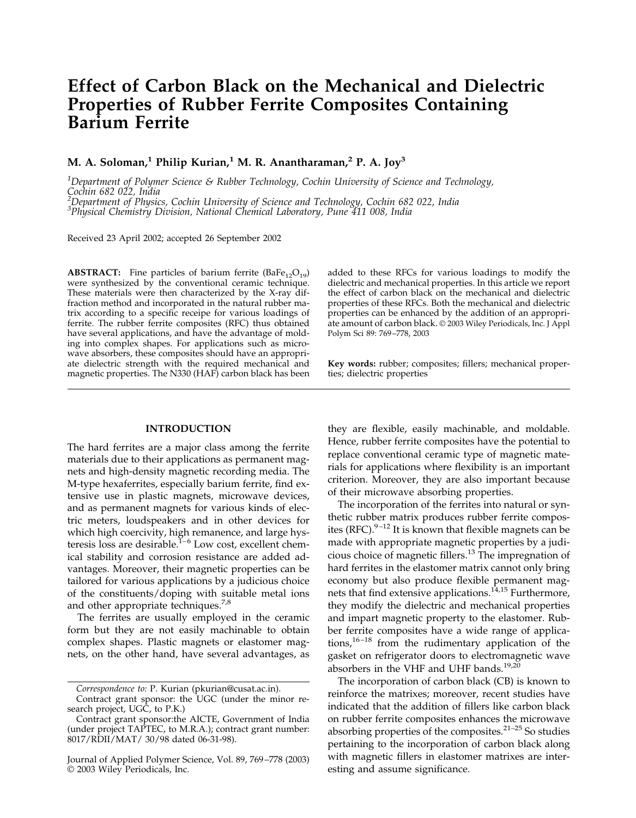# **Effect of Carbon Black on the Mechanical and Dielectric Properties of Rubber Ferrite Composites Containing Barium Ferrite**

# **M. A. Soloman,<sup>1</sup> Philip Kurian,<sup>1</sup> M. R. Anantharaman,<sup>2</sup> P. A. Joy<sup>3</sup>**

*1 Department of Polymer Science & Rubber Technology, Cochin University of Science and Technology, Cochin 682 022, India 2*

*Department of Physics, Cochin University of Science and Technology, Cochin 682 022, India*

*3 Physical Chemistry Division, National Chemical Laboratory, Pune 411 008, India*

Received 23 April 2002; accepted 26 September 2002

**ABSTRACT:** Fine particles of barium ferrite  $(BaFe_{12}O_{19})$ were synthesized by the conventional ceramic technique. These materials were then characterized by the X-ray diffraction method and incorporated in the natural rubber matrix according to a specific receipe for various loadings of ferrite. The rubber ferrite composites (RFC) thus obtained have several applications, and have the advantage of molding into complex shapes. For applications such as microwave absorbers, these composites should have an appropriate dielectric strength with the required mechanical and magnetic properties. The N330 (HAF) carbon black has been

# **INTRODUCTION**

The hard ferrites are a major class among the ferrite materials due to their applications as permanent magnets and high-density magnetic recording media. The M-type hexaferrites, especially barium ferrite, find extensive use in plastic magnets, microwave devices, and as permanent magnets for various kinds of electric meters, loudspeakers and in other devices for which high coercivity, high remanence, and large hysteresis loss are desirable.<sup> $1-6$ </sup> Low cost, excellent chemical stability and corrosion resistance are added advantages. Moreover, their magnetic properties can be tailored for various applications by a judicious choice of the constituents/doping with suitable metal ions and other appropriate techniques.<sup>7,8</sup>

The ferrites are usually employed in the ceramic form but they are not easily machinable to obtain complex shapes. Plastic magnets or elastomer magnets, on the other hand, have several advantages, as

added to these RFCs for various loadings to modify the dielectric and mechanical properties. In this article we report the effect of carbon black on the mechanical and dielectric properties of these RFCs. Both the mechanical and dielectric properties can be enhanced by the addition of an appropriate amount of carbon black. © 2003 Wiley Periodicals, Inc. J Appl Polym Sci 89: 769 –778, 2003

**Key words:** rubber; composites; fillers; mechanical properties; dielectric properties

they are flexible, easily machinable, and moldable. Hence, rubber ferrite composites have the potential to replace conventional ceramic type of magnetic materials for applications where flexibility is an important criterion. Moreover, they are also important because of their microwave absorbing properties.

The incorporation of the ferrites into natural or synthetic rubber matrix produces rubber ferrite composites (RFC). $9-12$  It is known that flexible magnets can be made with appropriate magnetic properties by a judicious choice of magnetic fillers.<sup>13</sup> The impregnation of hard ferrites in the elastomer matrix cannot only bring economy but also produce flexible permanent magnets that find extensive applications.<sup>14,15</sup> Furthermore, they modify the dielectric and mechanical properties and impart magnetic property to the elastomer. Rubber ferrite composites have a wide range of applications, $16 - 18$  from the rudimentary application of the gasket on refrigerator doors to electromagnetic wave absorbers in the VHF and UHF bands. $19,20$ 

The incorporation of carbon black (CB) is known to reinforce the matrixes; moreover, recent studies have indicated that the addition of fillers like carbon black on rubber ferrite composites enhances the microwave absorbing properties of the composites. $21-25$  So studies pertaining to the incorporation of carbon black along with magnetic fillers in elastomer matrixes are interesting and assume significance.

*Correspondence to:* P. Kurian (pkurian@cusat.ac.in).

Contract grant sponsor: the UGC (under the minor research project, UGC, to P.K.)

Contract grant sponsor:the AICTE, Government of India (under project TAPTEC, to M.R.A.); contract grant number: 8017/RDII/MAT/ 30/98 dated 06-31-98).

Journal of Applied Polymer Science, Vol. 89, 769 –778 (2003) © 2003 Wiley Periodicals, Inc.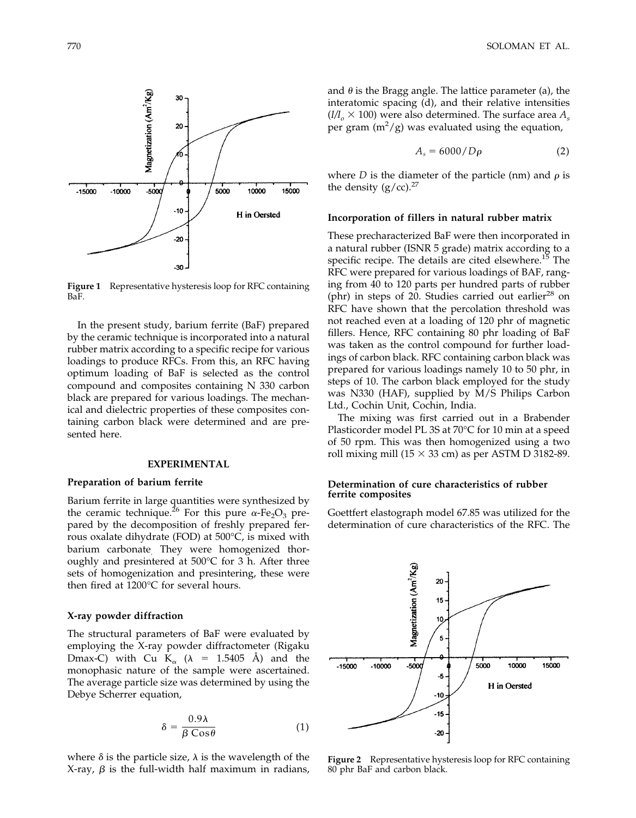

**Figure 1** Representative hysteresis loop for RFC containing BaF.

In the present study, barium ferrite (BaF) prepared by the ceramic technique is incorporated into a natural rubber matrix according to a specific recipe for various loadings to produce RFCs. From this, an RFC having optimum loading of BaF is selected as the control compound and composites containing N 330 carbon black are prepared for various loadings. The mechanical and dielectric properties of these composites containing carbon black were determined and are presented here.

# **EXPERIMENTAL**

# **Preparation of barium ferrite**

Barium ferrite in large quantities were synthesized by the ceramic technique.<sup>26</sup> For this pure  $\alpha$ -Fe<sub>2</sub>O<sub>3</sub> prepared by the decomposition of freshly prepared ferrous oxalate dihydrate (FOD) at 500°C, is mixed with barium carbonate. They were homogenized thoroughly and presintered at 500°C for 3 h. After three sets of homogenization and presintering, these were then fired at 1200°C for several hours.

#### **X-ray powder diffraction**

The structural parameters of BaF were evaluated by employing the X-ray powder diffractometer (Rigaku Dmax-C) with Cu  $K_{\alpha}$  ( $\lambda$  = 1.5405 Å) and the monophasic nature of the sample were ascertained. The average particle size was determined by using the Debye Scherrer equation,

$$
\delta = \frac{0.9\lambda}{\beta \cos \theta} \tag{1}
$$

where  $\delta$  is the particle size,  $\lambda$  is the wavelength of the X-ray,  $\beta$  is the full-width half maximum in radians, and  $\theta$  is the Bragg angle. The lattice parameter (a), the interatomic spacing (d), and their relative intensities  $(I/I_0 \times 100)$  were also determined. The surface area  $A_s$ per gram  $(m^2/g)$  was evaluated using the equation,

$$
A_s = 6000/D\rho \tag{2}
$$

where *D* is the diameter of the particle (nm) and  $\rho$  is the density  $(g/cc)$ .<sup>27</sup>

#### **Incorporation of fillers in natural rubber matrix**

These precharacterized BaF were then incorporated in a natural rubber (ISNR 5 grade) matrix according to a specific recipe. The details are cited elsewhere.<sup>15</sup> The RFC were prepared for various loadings of BAF, ranging from 40 to 120 parts per hundred parts of rubber (phr) in steps of 20. Studies carried out earlier<sup>28</sup> on RFC have shown that the percolation threshold was not reached even at a loading of 120 phr of magnetic fillers. Hence, RFC containing 80 phr loading of BaF was taken as the control compound for further loadings of carbon black. RFC containing carbon black was prepared for various loadings namely 10 to 50 phr, in steps of 10. The carbon black employed for the study was N330 (HAF), supplied by M/S Philips Carbon Ltd., Cochin Unit, Cochin, India.

The mixing was first carried out in a Brabender Plasticorder model PL 3S at 70°C for 10 min at a speed of 50 rpm. This was then homogenized using a two roll mixing mill (15  $\times$  33 cm) as per ASTM D 3182-89.

# **Determination of cure characteristics of rubber ferrite composites**

Goettfert elastograph model 67.85 was utilized for the determination of cure characteristics of the RFC. The



**Figure 2** Representative hysteresis loop for RFC containing 80 phr BaF and carbon black.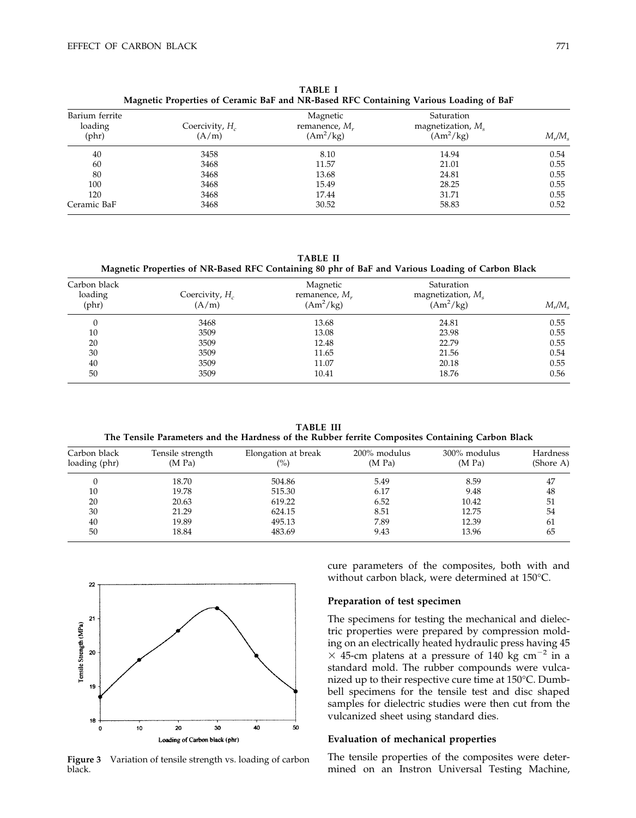| Magnetic Properties of Ceramic BaF and NR-Based RFC Containing Various Loading of BaF |                            |                                                 |                                                  |           |  |  |  |
|---------------------------------------------------------------------------------------|----------------------------|-------------------------------------------------|--------------------------------------------------|-----------|--|--|--|
| Barium ferrite<br>loading<br>$(\text{phr})$                                           | Coercivity, $H_c$<br>(A/m) | Magnetic<br>remanence, $M_{\nu}$<br>$(Am^2/kg)$ | Saturation<br>magnetization, $Ms$<br>$(Am^2/kg)$ | $M_r/M_s$ |  |  |  |
| 40                                                                                    | 3458                       | 8.10                                            | 14.94                                            | 0.54      |  |  |  |
| 60                                                                                    | 3468                       | 11.57                                           | 21.01                                            | 0.55      |  |  |  |
| 80                                                                                    | 3468                       | 13.68                                           | 24.81                                            | 0.55      |  |  |  |
| 100                                                                                   | 3468                       | 15.49                                           | 28.25                                            | 0.55      |  |  |  |
| 120                                                                                   | 3468                       | 17.44                                           | 31.71                                            | 0.55      |  |  |  |
| Ceramic BaF                                                                           | 3468                       | 30.52                                           | 58.83                                            | 0.52      |  |  |  |

**TABLE I**

**TABLE II**

**Magnetic Properties of NR-Based RFC Containing 80 phr of BaF and Various Loading of Carbon Black**

| Carbon black<br>loading<br>$(\text{phr})$ | Coercivity, $H_c$<br>(A/m) | Magnetic<br>remanence, $M_r$<br>$(Am^2/kg)$ | Saturation<br>magnetization, $M_s$<br>$(Am^2/kg)$ | $M_r/M_s$ |
|-------------------------------------------|----------------------------|---------------------------------------------|---------------------------------------------------|-----------|
| 0                                         | 3468                       | 13.68                                       | 24.81                                             | 0.55      |
| 10                                        | 3509                       | 13.08                                       | 23.98                                             | 0.55      |
| 20                                        | 3509                       | 12.48                                       | 22.79                                             | 0.55      |
| 30                                        | 3509                       | 11.65                                       | 21.56                                             | 0.54      |
| 40                                        | 3509                       | 11.07                                       | 20.18                                             | 0.55      |
| 50                                        | 3509                       | 10.41                                       | 18.76                                             | 0.56      |

**TABLE III The Tensile Parameters and the Hardness of the Rubber ferrite Composites Containing Carbon Black**

| Carbon black<br>loading (phr) | Tensile strength<br>(M Pa) | Elongation at break<br>(%) | 200% modulus<br>(M Pa) | 300% modulus<br>(M Pa) | Hardness<br>(Shore A) |
|-------------------------------|----------------------------|----------------------------|------------------------|------------------------|-----------------------|
|                               | 18.70                      | 504.86                     | 5.49                   | 8.59                   | 47                    |
| 10                            | 19.78                      | 515.30                     | 6.17                   | 9.48                   | 48                    |
| 20                            | 20.63                      | 619.22                     | 6.52                   | 10.42                  | 51                    |
| 30                            | 21.29                      | 624.15                     | 8.51                   | 12.75                  | 54                    |
| 40                            | 19.89                      | 495.13                     | 7.89                   | 12.39                  | 61                    |
| 50                            | 18.84                      | 483.69                     | 9.43                   | 13.96                  | 65                    |



**Figure 3** Variation of tensile strength vs. loading of carbon black.

cure parameters of the composites, both with and without carbon black, were determined at 150°C.

# **Preparation of test specimen**

The specimens for testing the mechanical and dielectric properties were prepared by compression molding on an electrically heated hydraulic press having 45  $\times$  45-cm platens at a pressure of 140 kg cm<sup>-2</sup> in a standard mold. The rubber compounds were vulcanized up to their respective cure time at 150°C. Dumbbell specimens for the tensile test and disc shaped samples for dielectric studies were then cut from the vulcanized sheet using standard dies.

# **Evaluation of mechanical properties**

The tensile properties of the composites were determined on an Instron Universal Testing Machine,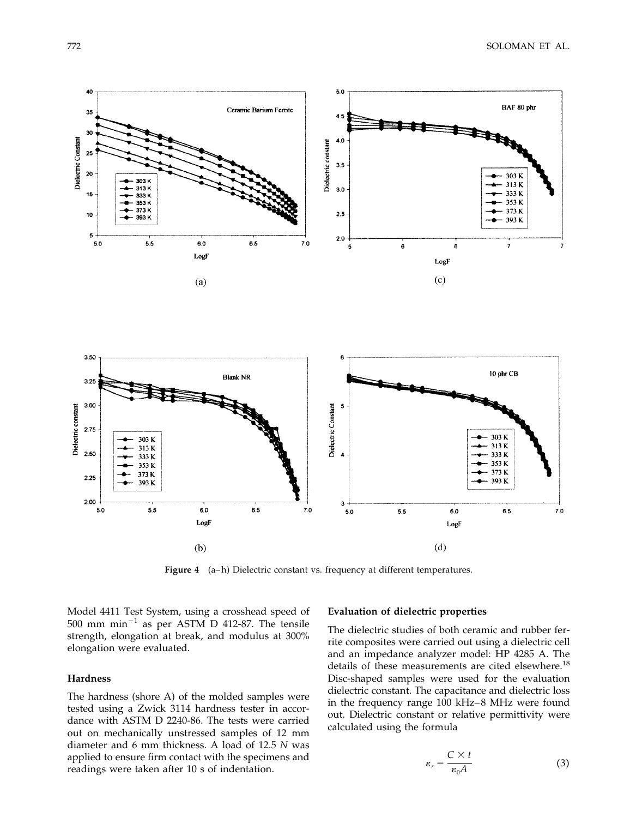

Figure 4 (a–h) Dielectric constant vs. frequency at different temperatures.

Model 4411 Test System, using a crosshead speed of  $500$  mm min<sup>-1</sup> as per ASTM D 412-87. The tensile strength, elongation at break, and modulus at 300% elongation were evaluated.

# **Hardness**

The hardness (shore A) of the molded samples were tested using a Zwick 3114 hardness tester in accordance with ASTM D 2240-86. The tests were carried out on mechanically unstressed samples of 12 mm diameter and 6 mm thickness. A load of 12.5 *N* was applied to ensure firm contact with the specimens and readings were taken after 10 s of indentation.

# **Evaluation of dielectric properties**

The dielectric studies of both ceramic and rubber ferrite composites were carried out using a dielectric cell and an impedance analyzer model: HP 4285 A. The details of these measurements are cited elsewhere.<sup>18</sup> Disc-shaped samples were used for the evaluation dielectric constant. The capacitance and dielectric loss in the frequency range 100 kHz– 8 MHz were found out. Dielectric constant or relative permittivity were calculated using the formula

$$
\varepsilon_r = \frac{C \times t}{\varepsilon_0 A} \tag{3}
$$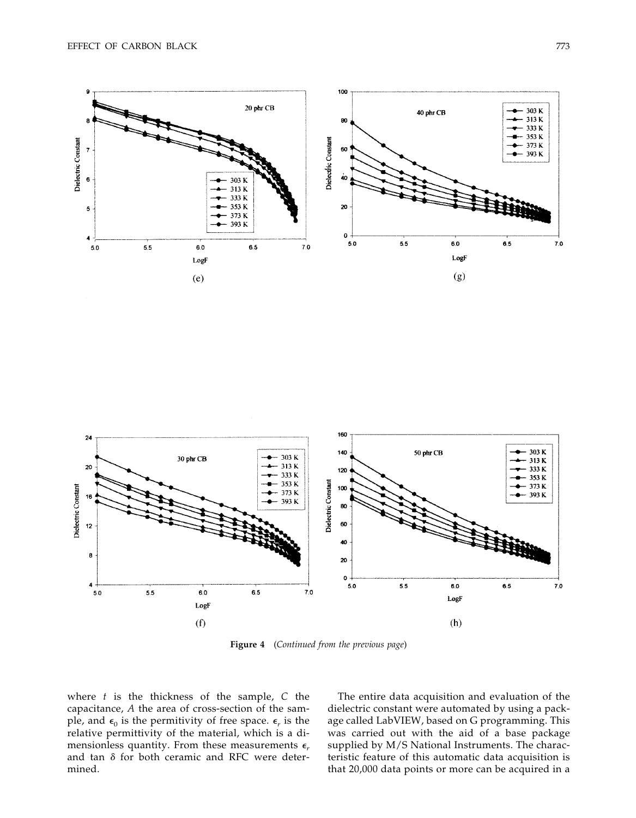



**Figure 4** (*Continued from the previous page*)

where *t* is the thickness of the sample, *C* the capacitance, *A* the area of cross-section of the sample, and  $\epsilon_0$  is the permitivity of free space.  $\epsilon_r$  is the relative permittivity of the material, which is a dimensionless quantity. From these measurements  $\epsilon_r$ and tan  $\delta$  for both ceramic and RFC were determined.

The entire data acquisition and evaluation of the dielectric constant were automated by using a package called LabVIEW, based on G programming. This was carried out with the aid of a base package supplied by M/S National Instruments. The characteristic feature of this automatic data acquisition is that 20,000 data points or more can be acquired in a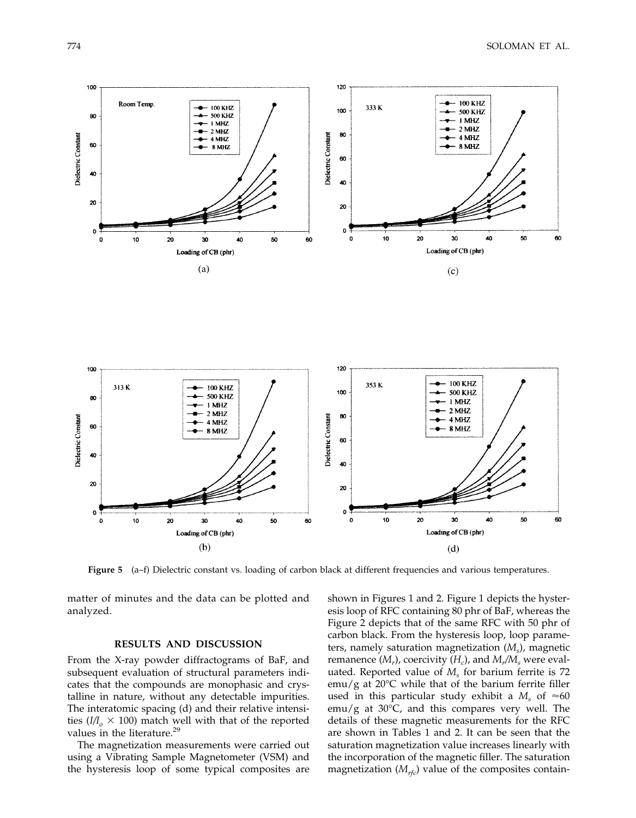

120

**Figure 5** (a–f) Dielectric constant vs. loading of carbon black at different frequencies and various temperatures.

matter of minutes and the data can be plotted and analyzed.

### **RESULTS AND DISCUSSION**

From the X-ray powder diffractograms of BaF, and subsequent evaluation of structural parameters indicates that the compounds are monophasic and crystalline in nature, without any detectable impurities. The interatomic spacing (d) and their relative intensities  $(I/I_0 \times 100)$  match well with that of the reported values in the literature.<sup>29</sup>

The magnetization measurements were carried out using a Vibrating Sample Magnetometer (VSM) and the hysteresis loop of some typical composites are

shown in Figures 1 and 2. Figure 1 depicts the hysteresis loop of RFC containing 80 phr of BaF, whereas the Figure 2 depicts that of the same RFC with 50 phr of carbon black. From the hysteresis loop, loop parameters, namely saturation magnetization (*Ms*), magnetic remanence  $(M_r)$ , coercivity  $(H_c)$ , and  $M_r/M_s$  were evaluated. Reported value of  $M<sub>s</sub>$  for barium ferrite is 72 emu/g at 20°C while that of the barium ferrite filler used in this particular study exhibit a  $M_s$  of  $\approx 60$  $\text{emu/g}$  at 30°C, and this compares very well. The details of these magnetic measurements for the RFC are shown in Tables 1 and 2. It can be seen that the saturation magnetization value increases linearly with the incorporation of the magnetic filler. The saturation magnetization  $(M_{rfc})$  value of the composites contain-

100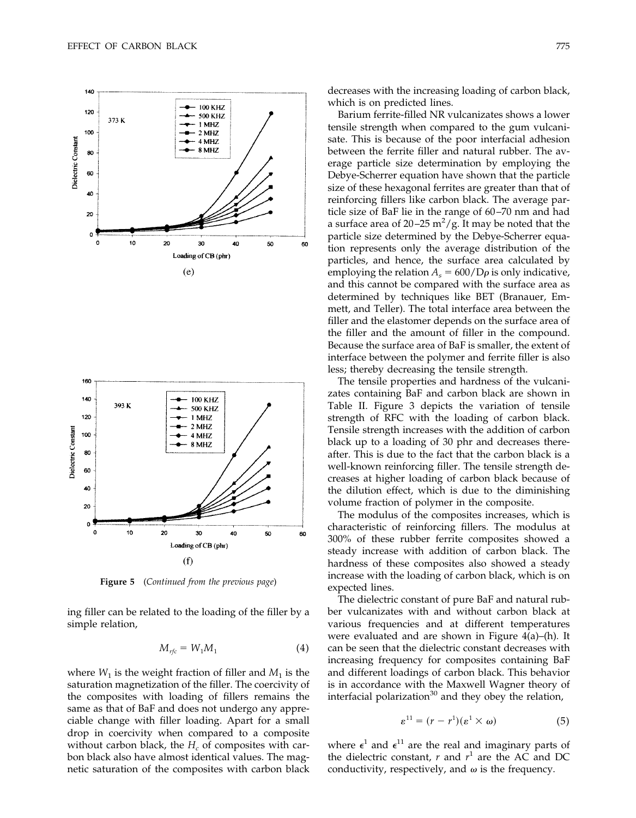



**Figure 5** (*Continued from the previous page*)

ing filler can be related to the loading of the filler by a simple relation,

$$
M_{rfc} = W_1 M_1 \tag{4}
$$

where  $W_1$  is the weight fraction of filler and  $M_1$  is the saturation magnetization of the filler. The coercivity of the composites with loading of fillers remains the same as that of BaF and does not undergo any appreciable change with filler loading. Apart for a small drop in coercivity when compared to a composite without carbon black, the  $H_c$  of composites with carbon black also have almost identical values. The magnetic saturation of the composites with carbon black decreases with the increasing loading of carbon black, which is on predicted lines.

Barium ferrite-filled NR vulcanizates shows a lower tensile strength when compared to the gum vulcanisate. This is because of the poor interfacial adhesion between the ferrite filler and natural rubber. The average particle size determination by employing the Debye-Scherrer equation have shown that the particle size of these hexagonal ferrites are greater than that of reinforcing fillers like carbon black. The average particle size of BaF lie in the range of 60 –70 nm and had a surface area of 20–25  $m^2/g$ . It may be noted that the particle size determined by the Debye-Scherrer equation represents only the average distribution of the particles, and hence, the surface area calculated by employing the relation  $A_s = 600/D\rho$  is only indicative, and this cannot be compared with the surface area as determined by techniques like BET (Branauer, Emmett, and Teller). The total interface area between the filler and the elastomer depends on the surface area of the filler and the amount of filler in the compound. Because the surface area of BaF is smaller, the extent of interface between the polymer and ferrite filler is also less; thereby decreasing the tensile strength.

The tensile properties and hardness of the vulcanizates containing BaF and carbon black are shown in Table II. Figure 3 depicts the variation of tensile strength of RFC with the loading of carbon black. Tensile strength increases with the addition of carbon black up to a loading of 30 phr and decreases thereafter. This is due to the fact that the carbon black is a well-known reinforcing filler. The tensile strength decreases at higher loading of carbon black because of the dilution effect, which is due to the diminishing volume fraction of polymer in the composite.

The modulus of the composites increases, which is characteristic of reinforcing fillers. The modulus at 300% of these rubber ferrite composites showed a steady increase with addition of carbon black. The hardness of these composites also showed a steady increase with the loading of carbon black, which is on expected lines.

The dielectric constant of pure BaF and natural rubber vulcanizates with and without carbon black at various frequencies and at different temperatures were evaluated and are shown in Figure 4(a)–(h)*.* It can be seen that the dielectric constant decreases with increasing frequency for composites containing BaF and different loadings of carbon black. This behavior is in accordance with the Maxwell Wagner theory of interfacial polarization $30$  and they obey the relation,

$$
\varepsilon^{11} = (r - r^1)(\varepsilon^1 \times \omega) \tag{5}
$$

where  $\epsilon^1$  and  $\epsilon^{11}$  are the real and imaginary parts of the dielectric constant,  $r$  and  $r<sup>1</sup>$  are the AC and DC conductivity, respectively, and  $\omega$  is the frequency.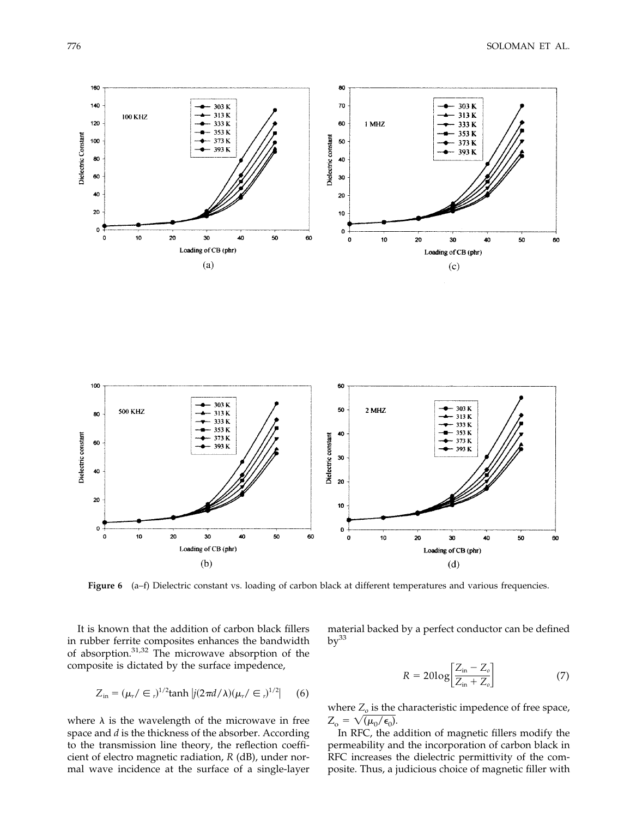



**Figure 6** (a–f) Dielectric constant vs. loading of carbon black at different temperatures and various frequencies.

It is known that the addition of carbon black fillers in rubber ferrite composites enhances the bandwidth of absorption.31,32 The microwave absorption of the composite is dictated by the surface impedence,

$$
Z_{\text{in}} = (\mu_r / \in \, r)^{1/2} \tanh |j(2\pi d/\lambda)(\mu_r / \in \, r)^{1/2}| \qquad (6)
$$

where  $\lambda$  is the wavelength of the microwave in free space and *d* is the thickness of the absorber. According to the transmission line theory, the reflection coefficient of electro magnetic radiation, *R* (dB), under normal wave incidence at the surface of a single-layer material backed by a perfect conductor can be defined  $bv^{33}$ 

$$
R = 20\log\left[\frac{Z_{\text{in}} - Z_o}{Z_{\text{in}} + Z_o}\right] \tag{7}
$$

where  $Z<sub>o</sub>$  is the characteristic impedence of free space,  $Z_{o} = \sqrt{\mu_{0}/\epsilon_{0}}.$ 

In RFC, the addition of magnetic fillers modify the permeability and the incorporation of carbon black in RFC increases the dielectric permittivity of the composite. Thus, a judicious choice of magnetic filler with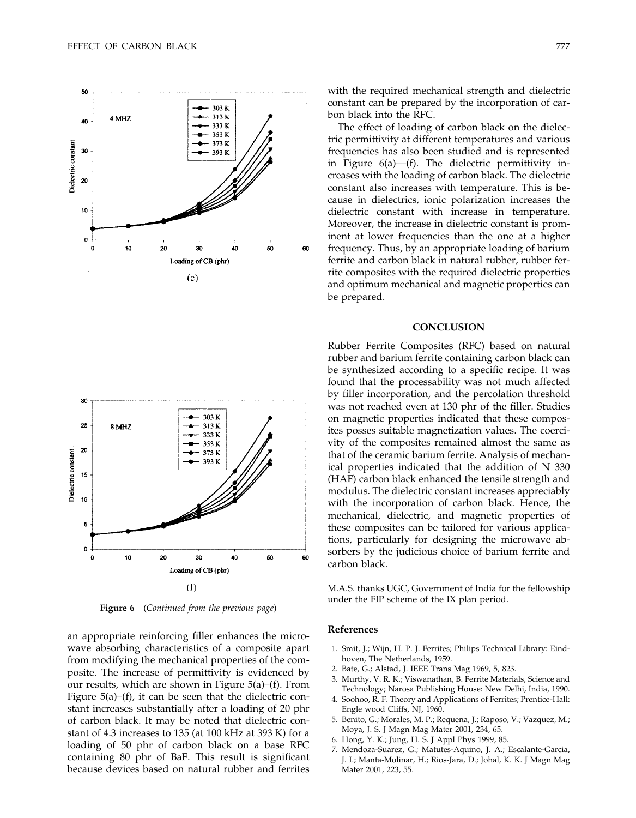$\overline{\mathbf{3}}$ 

25

20

15

10

Dielectric constant



303 K 313K 8 MHZ  $333K$ 353 K 373 K 393 K

#### 5  $\pmb{0}$ 10  $\mathbf{o}$ 20 30 40 50 Loading of CB (phr)  $(f)$

**Figure 6** (*Continued from the previous page*)

an appropriate reinforcing filler enhances the microwave absorbing characteristics of a composite apart from modifying the mechanical properties of the composite. The increase of permittivity is evidenced by our results, which are shown in Figure 5(a)–(f). From Figure 5(a)–(f), it can be seen that the dielectric constant increases substantially after a loading of 20 phr of carbon black. It may be noted that dielectric constant of 4.3 increases to 135 (at 100 kHz at 393 K) for a loading of 50 phr of carbon black on a base RFC containing 80 phr of BaF. This result is significant because devices based on natural rubber and ferrites

with the required mechanical strength and dielectric constant can be prepared by the incorporation of carbon black into the RFC.

The effect of loading of carbon black on the dielectric permittivity at different temperatures and various frequencies has also been studied and is represented in Figure 6(a)—(f). The dielectric permittivity increases with the loading of carbon black. The dielectric constant also increases with temperature. This is because in dielectrics, ionic polarization increases the dielectric constant with increase in temperature. Moreover, the increase in dielectric constant is prominent at lower frequencies than the one at a higher frequency. Thus, by an appropriate loading of barium ferrite and carbon black in natural rubber, rubber ferrite composites with the required dielectric properties and optimum mechanical and magnetic properties can be prepared.

# **CONCLUSION**

Rubber Ferrite Composites (RFC) based on natural rubber and barium ferrite containing carbon black can be synthesized according to a specific recipe. It was found that the processability was not much affected by filler incorporation, and the percolation threshold was not reached even at 130 phr of the filler. Studies on magnetic properties indicated that these composites posses suitable magnetization values. The coercivity of the composites remained almost the same as that of the ceramic barium ferrite. Analysis of mechanical properties indicated that the addition of N 330 (HAF) carbon black enhanced the tensile strength and modulus. The dielectric constant increases appreciably with the incorporation of carbon black. Hence, the mechanical, dielectric, and magnetic properties of these composites can be tailored for various applications, particularly for designing the microwave absorbers by the judicious choice of barium ferrite and carbon black.

M.A.S. thanks UGC, Government of India for the fellowship under the FIP scheme of the IX plan period.

## **References**

60

- 1. Smit, J.; Wijn, H. P. J. Ferrites; Philips Technical Library: Eindhoven, The Netherlands, 1959.
- 2. Bate, G.; Alstad, J. IEEE Trans Mag 1969, 5, 823.
- 3. Murthy, V. R. K.; Viswanathan, B. Ferrite Materials, Science and Technology; Narosa Publishing House: New Delhi, India, 1990.
- 4. Soohoo, R. F. Theory and Applications of Ferrites; Prentice-Hall: Engle wood Cliffs, NJ, 1960.
- 5. Benito, G.; Morales, M. P.; Requena, J.; Raposo, V.; Vazquez, M.; Moya, J. S. J Magn Mag Mater 2001, 234, 65.
- 6. Hong, Y. K.; Jung, H. S. J Appl Phys 1999, 85.
- 7. Mendoza-Suarez, G.; Matutes-Aquino, J. A.; Escalante-Garcia, J. I.; Manta-Molinar, H.; Rios-Jara, D.; Johal, K. K. J Magn Mag Mater 2001, 223, 55.